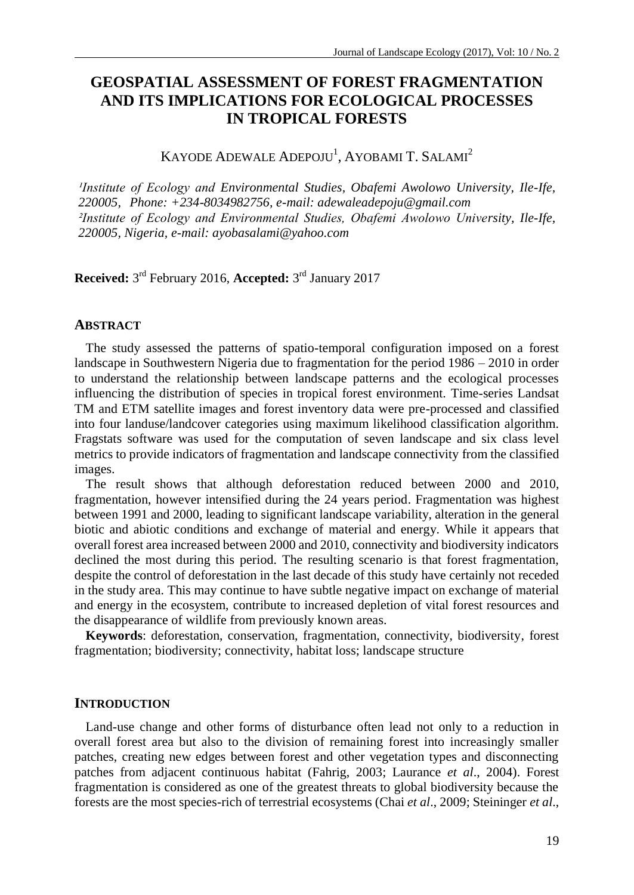# **GEOSPATIAL ASSESSMENT OF FOREST FRAGMENTATION AND ITS IMPLICATIONS FOR ECOLOGICAL PROCESSES IN TROPICAL FORESTS**

# KAYODE ADEWALE ADEPOJU<sup>1</sup>, AYOBAMI T. SALAMI<sup>2</sup>

*Institute of Ecology and Environmental Studies, Obafemi Awolowo University, Ile-Ife, 220005, Phone: +234-8034982756, e-mail[: adewaleadepoju@gmail.com](mailto:adewaleadepoju@gmail.com) ²Institute of Ecology and Environmental Studies, Obafemi Awolowo University, Ile-Ife, 220005, Nigeria, e-mail[: ayobasalami@yahoo.com](mailto:ayobasalami@yahoo.com)*

**Received:** 3 rd February 2016, **Accepted:** 3 rd January 2017

#### **ABSTRACT**

The study assessed the patterns of spatio-temporal configuration imposed on a forest landscape in Southwestern Nigeria due to fragmentation for the period 1986 – 2010 in order to understand the relationship between landscape patterns and the ecological processes influencing the distribution of species in tropical forest environment. Time-series Landsat TM and ETM satellite images and forest inventory data were pre-processed and classified into four landuse/landcover categories using maximum likelihood classification algorithm. Fragstats software was used for the computation of seven landscape and six class level metrics to provide indicators of fragmentation and landscape connectivity from the classified images.

The result shows that although deforestation reduced between 2000 and 2010, fragmentation, however intensified during the 24 years period. Fragmentation was highest between 1991 and 2000, leading to significant landscape variability, alteration in the general biotic and abiotic conditions and exchange of material and energy. While it appears that overall forest area increased between 2000 and 2010, connectivity and biodiversity indicators declined the most during this period. The resulting scenario is that forest fragmentation, despite the control of deforestation in the last decade of this study have certainly not receded in the study area. This may continue to have subtle negative impact on exchange of material and energy in the ecosystem, contribute to increased depletion of vital forest resources and the disappearance of wildlife from previously known areas.

**Keywords**: deforestation, conservation, fragmentation, connectivity, biodiversity, forest fragmentation; biodiversity; connectivity, habitat loss; landscape structure

#### **INTRODUCTION**

Land-use change and other forms of disturbance often lead not only to a reduction in overall forest area but also to the division of remaining forest into increasingly smaller patches, creating new edges between forest and other vegetation types and disconnecting patches from adjacent continuous habitat (Fahrig, 2003; Laurance *et al*., 2004). Forest fragmentation is considered as one of the greatest threats to global biodiversity because the forests are the most species-rich of terrestrial ecosystems (Chai *et al*., 2009; Steininger *et al*.,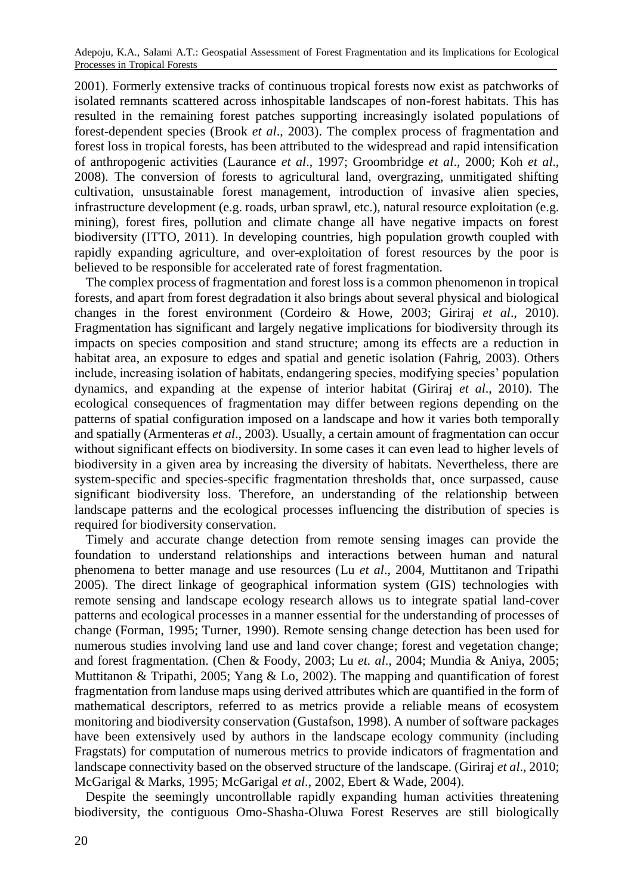2001). Formerly extensive tracks of continuous tropical forests now exist as patchworks of isolated remnants scattered across inhospitable landscapes of non-forest habitats. This has resulted in the remaining forest patches supporting increasingly isolated populations of forest-dependent species (Brook *et al*., 2003). The complex process of fragmentation and forest loss in tropical forests, has been attributed to the widespread and rapid intensification of anthropogenic activities (Laurance *et al*., 1997; Groombridge *et al*., 2000; Koh *et al*., 2008). The conversion of forests to agricultural land, overgrazing, unmitigated shifting cultivation, unsustainable forest management, introduction of invasive alien species, infrastructure development (e.g. roads, urban sprawl, etc.), natural resource exploitation (e.g. mining), forest fires, pollution and climate change all have negative impacts on forest biodiversity (ITTO, 2011). In developing countries, high population growth coupled with rapidly expanding agriculture, and over-exploitation of forest resources by the poor is believed to be responsible for accelerated rate of forest fragmentation.

The complex process of fragmentation and forest loss is a common phenomenon in tropical forests, and apart from forest degradation it also brings about several physical and biological changes in the forest environment (Cordeiro & Howe, 2003; Giriraj *et al*., 2010). Fragmentation has significant and largely negative implications for biodiversity through its impacts on species composition and stand structure; among its effects are a reduction in habitat area, an exposure to edges and spatial and genetic isolation (Fahrig, 2003). Others include, increasing isolation of habitats, endangering species, modifying species' population dynamics, and expanding at the expense of interior habitat (Giriraj *et al*., 2010). The ecological consequences of fragmentation may differ between regions depending on the patterns of spatial configuration imposed on a landscape and how it varies both temporally and spatially (Armenteras *et al*., 2003). Usually, a certain amount of fragmentation can occur without significant effects on biodiversity. In some cases it can even lead to higher levels of biodiversity in a given area by increasing the diversity of habitats. Nevertheless, there are system-specific and species-specific fragmentation thresholds that, once surpassed, cause significant biodiversity loss. Therefore, an understanding of the relationship between landscape patterns and the ecological processes influencing the distribution of species is required for biodiversity conservation.

Timely and accurate change detection from remote sensing images can provide the foundation to understand relationships and interactions between human and natural phenomena to better manage and use resources (Lu *et al*., 2004, Muttitanon and Tripathi 2005). The direct linkage of geographical information system (GIS) technologies with remote sensing and landscape ecology research allows us to integrate spatial land-cover patterns and ecological processes in a manner essential for the understanding of processes of change (Forman, 1995; Turner, 1990). Remote sensing change detection has been used for numerous studies involving land use and land cover change; forest and vegetation change; and forest fragmentation. (Chen & Foody, 2003; Lu *et. al*., 2004; Mundia & Aniya, 2005; Muttitanon & Tripathi, 2005; Yang & Lo, 2002). The mapping and quantification of forest fragmentation from landuse maps using derived attributes which are quantified in the form of mathematical descriptors, referred to as metrics provide a reliable means of ecosystem monitoring and biodiversity conservation (Gustafson, 1998). A number of software packages have been extensively used by authors in the landscape ecology community (including Fragstats) for computation of numerous metrics to provide indicators of fragmentation and landscape connectivity based on the observed structure of the landscape. (Giriraj *et al*., 2010; McGarigal & Marks, 1995; McGarigal *et al*., 2002, Ebert & Wade, 2004).

Despite the seemingly uncontrollable rapidly expanding human activities threatening biodiversity, the contiguous Omo-Shasha-Oluwa Forest Reserves are still biologically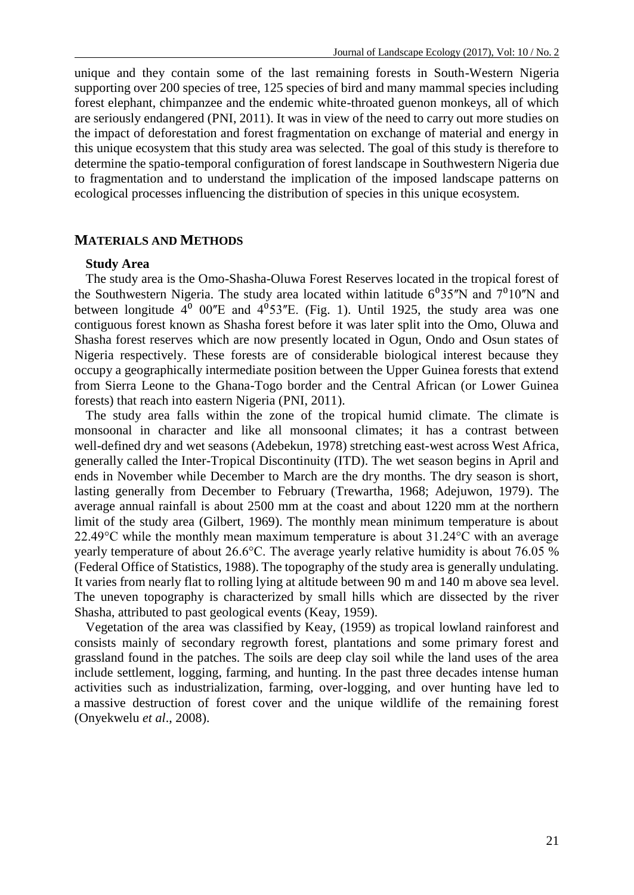unique and they contain some of the last remaining forests in South-Western Nigeria supporting over 200 species of tree, 125 species of bird and many mammal species including forest elephant, chimpanzee and the endemic white-throated guenon monkeys, all of which are seriously endangered (PNI, 2011). It was in view of the need to carry out more studies on the impact of deforestation and forest fragmentation on exchange of material and energy in this unique ecosystem that this study area was selected. The goal of this study is therefore to determine the spatio-temporal configuration of forest landscape in Southwestern Nigeria due to fragmentation and to understand the implication of the imposed landscape patterns on ecological processes influencing the distribution of species in this unique ecosystem.

#### **MATERIALS AND METHODS**

#### **Study Area**

The study area is the Omo-Shasha-Oluwa Forest Reserves located in the tropical forest of the Southwestern Nigeria. The study area located within latitude  $6^{\circ}35^{\prime\prime}$ N and  $7^{\circ}10^{\prime\prime}$ N and between longitude  $4^{\circ}$  00"E and  $4^{\circ}$ 53"E. (Fig. 1). Until 1925, the study area was one contiguous forest known as Shasha forest before it was later split into the Omo, Oluwa and Shasha forest reserves which are now presently located in Ogun, Ondo and Osun states of Nigeria respectively. These forests are of considerable biological interest because they occupy a geographically intermediate position between the Upper Guinea forests that extend from Sierra Leone to the Ghana-Togo border and the Central African (or Lower Guinea forests) that reach into eastern Nigeria (PNI, 2011).

The study area falls within the zone of the tropical humid climate. The climate is monsoonal in character and like all monsoonal climates; it has a contrast between well-defined dry and wet seasons (Adebekun, 1978) stretching east-west across West Africa, generally called the Inter-Tropical Discontinuity (ITD). The wet season begins in April and ends in November while December to March are the dry months. The dry season is short, lasting generally from December to February (Trewartha, 1968; Adejuwon, 1979). The average annual rainfall is about 2500 mm at the coast and about 1220 mm at the northern limit of the study area (Gilbert, 1969). The monthly mean minimum temperature is about 22.49°C while the monthly mean maximum temperature is about 31.24°C with an average yearly temperature of about 26.6°C. The average yearly relative humidity is about 76.05 % (Federal Office of Statistics, 1988). The topography of the study area is generally undulating. It varies from nearly flat to rolling lying at altitude between 90 m and 140 m above sea level. The uneven topography is characterized by small hills which are dissected by the river Shasha, attributed to past geological events (Keay, 1959).

Vegetation of the area was classified by Keay, (1959) as tropical lowland rainforest and consists mainly of secondary regrowth forest, plantations and some primary forest and grassland found in the patches. The soils are deep clay soil while the land uses of the area include settlement, logging, farming, and hunting. In the past three decades intense human activities such as industrialization, farming, over-logging, and over hunting have led to a massive destruction of forest cover and the unique wildlife of the remaining forest (Onyekwelu *et al*., 2008).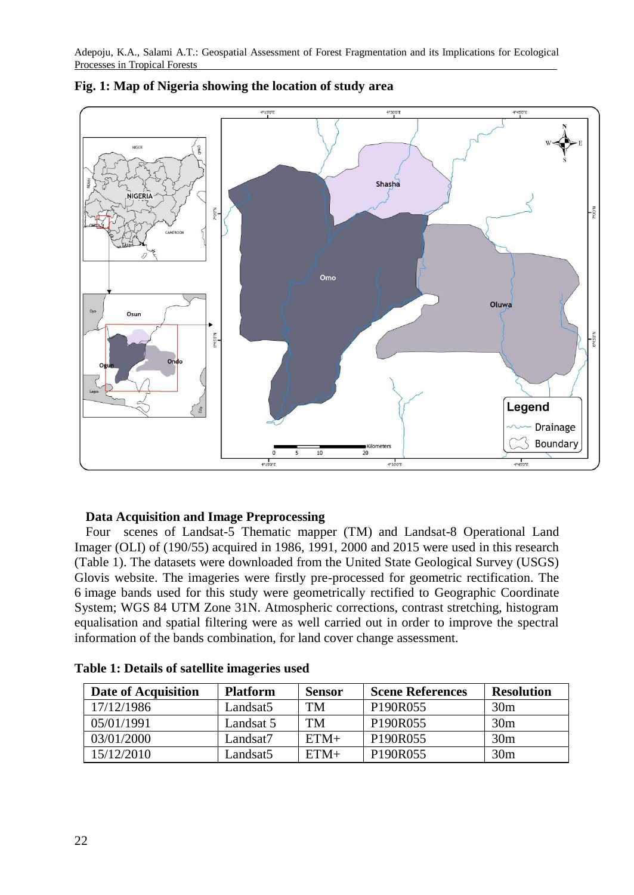

# **Fig. 1: Map of Nigeria showing the location of study area**

### **Data Acquisition and Image Preprocessing**

Four scenes of Landsat-5 Thematic mapper (TM) and Landsat-8 Operational Land Imager (OLI) of (190/55) acquired in 1986, 1991, 2000 and 2015 were used in this research (Table 1). The datasets were downloaded from the United State Geological Survey (USGS) Glovis website. The imageries were firstly pre-processed for geometric rectification. The 6 image bands used for this study were geometrically rectified to Geographic Coordinate System; WGS 84 UTM Zone 31N. Atmospheric corrections, contrast stretching, histogram equalisation and spatial filtering were as well carried out in order to improve the spectral information of the bands combination, for land cover change assessment.

| Date of Acquisition | <b>Platform</b> | Sensor | <b>Scene References</b>           | <b>Resolution</b> |
|---------------------|-----------------|--------|-----------------------------------|-------------------|
| 17/12/1986          | Landsat5        | TM     | P <sub>190</sub> R <sub>055</sub> | 30 <sub>m</sub>   |
| 05/01/1991          | Landsat 5       | TМ     | P <sub>190</sub> R <sub>055</sub> | 30 <sub>m</sub>   |
| 03/01/2000          | Landsat7        | $ETM+$ | P <sub>190</sub> R <sub>055</sub> | 30 <sub>m</sub>   |
| 15/12/2010          | Landsat5        | $ETM+$ | P <sub>190</sub> R <sub>055</sub> | 30 <sub>m</sub>   |

|  |  |  |  |  | Table 1: Details of satellite imageries used |  |
|--|--|--|--|--|----------------------------------------------|--|
|--|--|--|--|--|----------------------------------------------|--|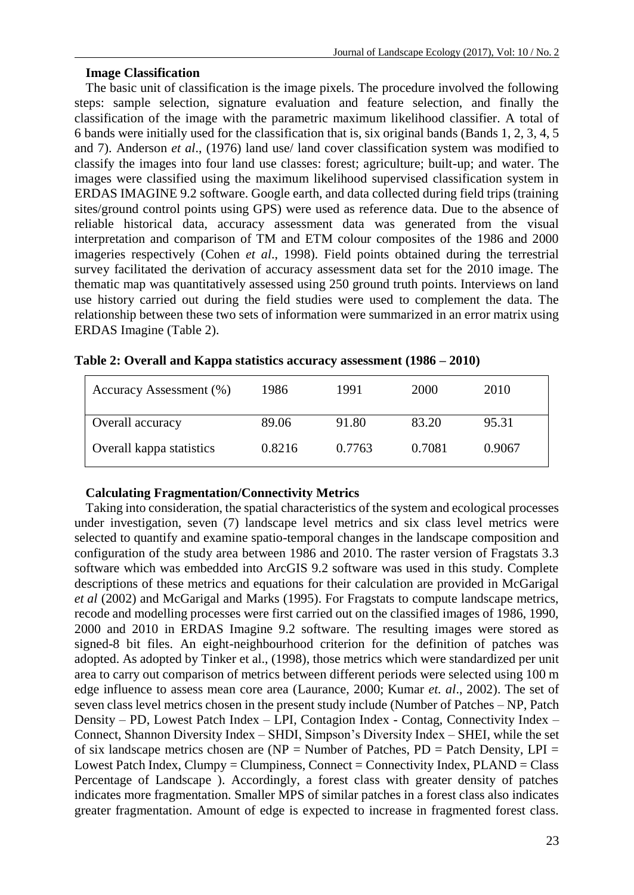# **Image Classification**

The basic unit of classification is the image pixels. The procedure involved the following steps: sample selection, signature evaluation and feature selection, and finally the classification of the image with the parametric maximum likelihood classifier. A total of 6 bands were initially used for the classification that is, six original bands (Bands 1, 2, 3, 4, 5 and 7). Anderson *et al*., (1976) land use/ land cover classification system was modified to classify the images into four land use classes: forest; agriculture; built-up; and water. The images were classified using the maximum likelihood supervised classification system in ERDAS IMAGINE 9.2 software. Google earth, and data collected during field trips (training sites/ground control points using GPS) were used as reference data. Due to the absence of reliable historical data, accuracy assessment data was generated from the visual interpretation and comparison of TM and ETM colour composites of the 1986 and 2000 imageries respectively (Cohen *et al*., 1998). Field points obtained during the terrestrial survey facilitated the derivation of accuracy assessment data set for the 2010 image. The thematic map was quantitatively assessed using 250 ground truth points. Interviews on land use history carried out during the field studies were used to complement the data. The relationship between these two sets of information were summarized in an error matrix using ERDAS Imagine (Table 2).

| Accuracy Assessment (%)  | 1986   | 1991   | 2000   | 2010   |
|--------------------------|--------|--------|--------|--------|
| Overall accuracy         | 89.06  | 91.80  | 83.20  | 95.31  |
| Overall kappa statistics | 0.8216 | 0.7763 | 0.7081 | 0.9067 |

| Table 2: Overall and Kappa statistics accuracy assessment (1986 - 2010) |  |  |
|-------------------------------------------------------------------------|--|--|
|-------------------------------------------------------------------------|--|--|

# **Calculating Fragmentation/Connectivity Metrics**

Taking into consideration, the spatial characteristics of the system and ecological processes under investigation, seven (7) landscape level metrics and six class level metrics were selected to quantify and examine spatio-temporal changes in the landscape composition and configuration of the study area between 1986 and 2010. The raster version of Fragstats 3.3 software which was embedded into ArcGIS 9.2 software was used in this study. Complete descriptions of these metrics and equations for their calculation are provided in McGarigal *et al* (2002) and McGarigal and Marks (1995). For Fragstats to compute landscape metrics, recode and modelling processes were first carried out on the classified images of 1986, 1990, 2000 and 2010 in ERDAS Imagine 9.2 software. The resulting images were stored as signed-8 bit files. An eight-neighbourhood criterion for the definition of patches was adopted. As adopted by Tinker et al., (1998), those metrics which were standardized per unit area to carry out comparison of metrics between different periods were selected using 100 m edge influence to assess mean core area (Laurance, 2000; Kumar *et. al*., 2002). The set of seven class level metrics chosen in the present study include (Number of Patches – NP, Patch Density – PD, Lowest Patch Index – LPI, Contagion Index - Contag, Connectivity Index – Connect, Shannon Diversity Index – SHDI, Simpson's Diversity Index – SHEI, while the set of six landscape metrics chosen are ( $NP = Number$  of Patches,  $PD =$  Patch Density, LPI = Lowest Patch Index, Clumpy = Clumpiness, Connect = Connectivity Index, PLAND = Class Percentage of Landscape ). Accordingly, a forest class with greater density of patches indicates more fragmentation. Smaller MPS of similar patches in a forest class also indicates greater fragmentation. Amount of edge is expected to increase in fragmented forest class.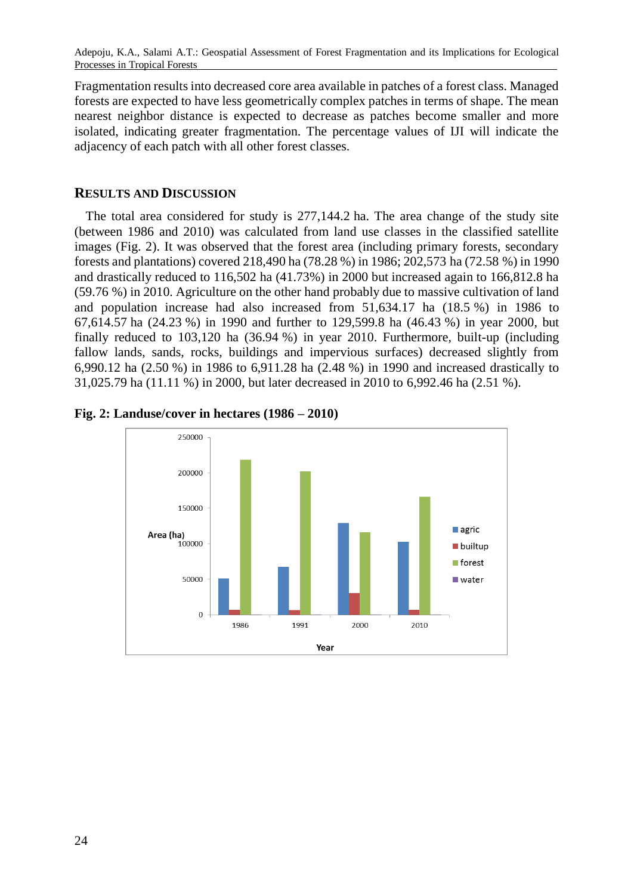Fragmentation results into decreased core area available in patches of a forest class. Managed forests are expected to have less geometrically complex patches in terms of shape. The mean nearest neighbor distance is expected to decrease as patches become smaller and more isolated, indicating greater fragmentation. The percentage values of IJI will indicate the adjacency of each patch with all other forest classes.

# **RESULTS AND DISCUSSION**

The total area considered for study is 277,144.2 ha. The area change of the study site (between 1986 and 2010) was calculated from land use classes in the classified satellite images (Fig. 2). It was observed that the forest area (including primary forests, secondary forests and plantations) covered 218,490 ha (78.28 %) in 1986; 202,573 ha (72.58 %) in 1990 and drastically reduced to 116,502 ha (41.73%) in 2000 but increased again to 166,812.8 ha (59.76 %) in 2010. Agriculture on the other hand probably due to massive cultivation of land and population increase had also increased from 51,634.17 ha (18.5 %) in 1986 to 67,614.57 ha (24.23 %) in 1990 and further to 129,599.8 ha (46.43 %) in year 2000, but finally reduced to 103,120 ha (36.94 %) in year 2010. Furthermore, built-up (including fallow lands, sands, rocks, buildings and impervious surfaces) decreased slightly from 6,990.12 ha (2.50 %) in 1986 to 6,911.28 ha (2.48 %) in 1990 and increased drastically to 31,025.79 ha (11.11 %) in 2000, but later decreased in 2010 to 6,992.46 ha (2.51 %).



**Fig. 2: Landuse/cover in hectares (1986 – 2010)**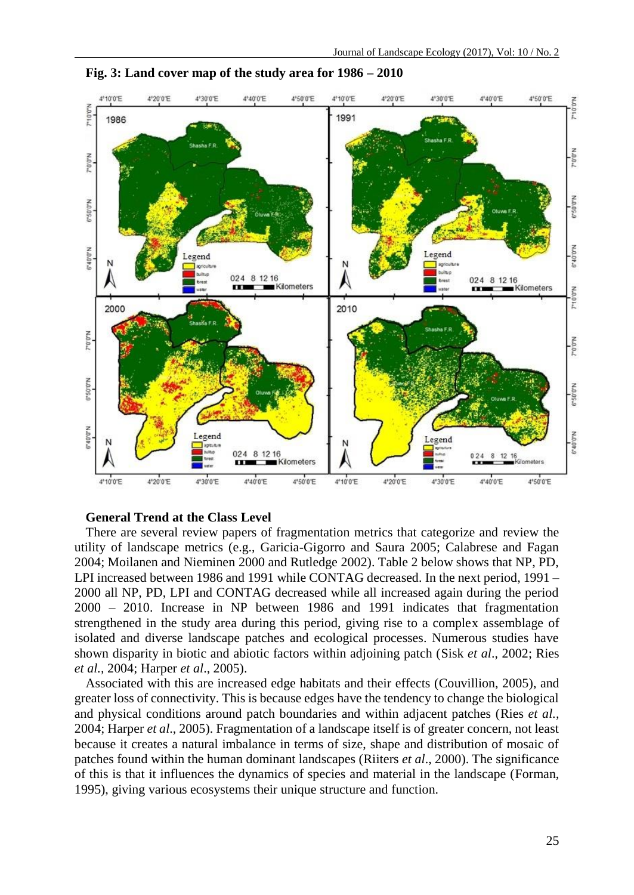

**Fig. 3: Land cover map of the study area for 1986 – 2010**

### **General Trend at the Class Level**

There are several review papers of fragmentation metrics that categorize and review the utility of landscape metrics (e.g., Garicia-Gigorro and Saura 2005; Calabrese and Fagan 2004; Moilanen and Nieminen 2000 and Rutledge 2002). Table 2 below shows that NP, PD, LPI increased between 1986 and 1991 while CONTAG decreased. In the next period, 1991 – 2000 all NP, PD, LPI and CONTAG decreased while all increased again during the period 2000 – 2010. Increase in NP between 1986 and 1991 indicates that fragmentation strengthened in the study area during this period, giving rise to a complex assemblage of isolated and diverse landscape patches and ecological processes. Numerous studies have shown disparity in biotic and abiotic factors within adjoining patch (Sisk *et al*., 2002; Ries *et al.,* 2004; Harper *et al*., 2005).

Associated with this are increased edge habitats and their effects (Couvillion, 2005), and greater loss of connectivity. This is because edges have the tendency to change the biological and physical conditions around patch boundaries and within adjacent patches (Ries *et al.,* 2004; Harper *et al*., 2005). Fragmentation of a landscape itself is of greater concern, not least because it creates a natural imbalance in terms of size, shape and distribution of mosaic of patches found within the human dominant landscapes (Riiters *et al*., 2000). The significance of this is that it influences the dynamics of species and material in the landscape (Forman, 1995), giving various ecosystems their unique structure and function.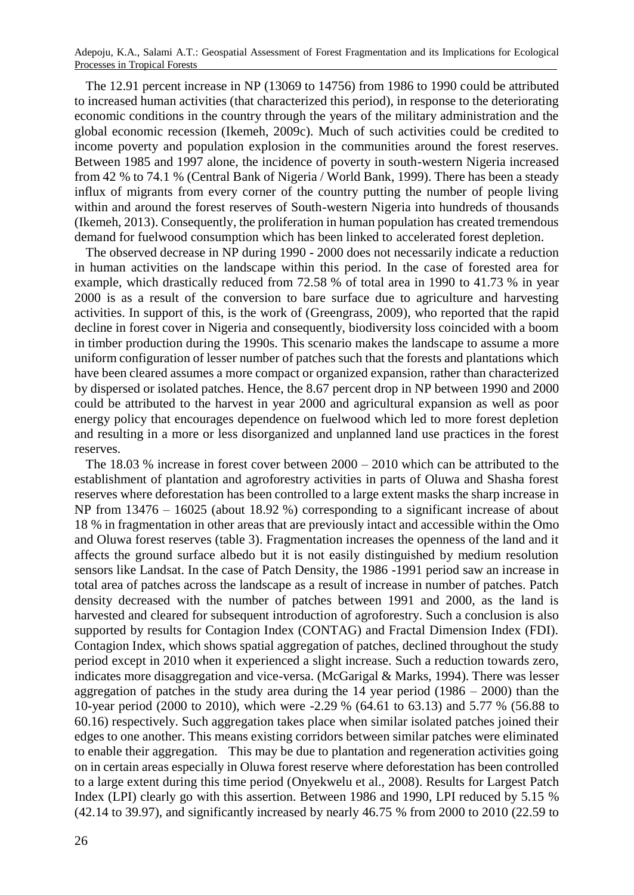The 12.91 percent increase in NP (13069 to 14756) from 1986 to 1990 could be attributed to increased human activities (that characterized this period), in response to the deteriorating economic conditions in the country through the years of the military administration and the global economic recession (Ikemeh, 2009c). Much of such activities could be credited to income poverty and population explosion in the communities around the forest reserves. Between 1985 and 1997 alone, the incidence of poverty in south-western Nigeria increased from 42 % to 74.1 % (Central Bank of Nigeria / World Bank, 1999). There has been a steady influx of migrants from every corner of the country putting the number of people living within and around the forest reserves of South-western Nigeria into hundreds of thousands (Ikemeh, 2013). Consequently, the proliferation in human population has created tremendous demand for fuelwood consumption which has been linked to accelerated forest depletion.

The observed decrease in NP during 1990 - 2000 does not necessarily indicate a reduction in human activities on the landscape within this period. In the case of forested area for example, which drastically reduced from 72.58 % of total area in 1990 to 41.73 % in year 2000 is as a result of the conversion to bare surface due to agriculture and harvesting activities. In support of this, is the work of (Greengrass, 2009), who reported that the rapid decline in forest cover in Nigeria and consequently, biodiversity loss coincided with a boom in timber production during the 1990s. This scenario makes the landscape to assume a more uniform configuration of lesser number of patches such that the forests and plantations which have been cleared assumes a more compact or organized expansion, rather than characterized by dispersed or isolated patches. Hence, the 8.67 percent drop in NP between 1990 and 2000 could be attributed to the harvest in year 2000 and agricultural expansion as well as poor energy policy that encourages dependence on fuelwood which led to more forest depletion and resulting in a more or less disorganized and unplanned land use practices in the forest reserves.

The 18.03 % increase in forest cover between 2000 – 2010 which can be attributed to the establishment of plantation and agroforestry activities in parts of Oluwa and Shasha forest reserves where deforestation has been controlled to a large extent masks the sharp increase in NP from 13476 – 16025 (about 18.92 %) corresponding to a significant increase of about 18 % in fragmentation in other areas that are previously intact and accessible within the Omo and Oluwa forest reserves (table 3). Fragmentation increases the openness of the land and it affects the ground surface albedo but it is not easily distinguished by medium resolution sensors like Landsat. In the case of Patch Density, the 1986 -1991 period saw an increase in total area of patches across the landscape as a result of increase in number of patches. Patch density decreased with the number of patches between 1991 and 2000, as the land is harvested and cleared for subsequent introduction of agroforestry. Such a conclusion is also supported by results for Contagion Index (CONTAG) and Fractal Dimension Index (FDI). Contagion Index, which shows spatial aggregation of patches, declined throughout the study period except in 2010 when it experienced a slight increase. Such a reduction towards zero, indicates more disaggregation and vice-versa. (McGarigal & Marks, 1994). There was lesser aggregation of patches in the study area during the  $14$  year period  $(1986 - 2000)$  than the 10-year period (2000 to 2010), which were -2.29 % (64.61 to 63.13) and 5.77 % (56.88 to 60.16) respectively. Such aggregation takes place when similar isolated patches joined their edges to one another. This means existing corridors between similar patches were eliminated to enable their aggregation. This may be due to plantation and regeneration activities going on in certain areas especially in Oluwa forest reserve where deforestation has been controlled to a large extent during this time period (Onyekwelu et al., 2008). Results for Largest Patch Index (LPI) clearly go with this assertion. Between 1986 and 1990, LPI reduced by 5.15 % (42.14 to 39.97), and significantly increased by nearly 46.75 % from 2000 to 2010 (22.59 to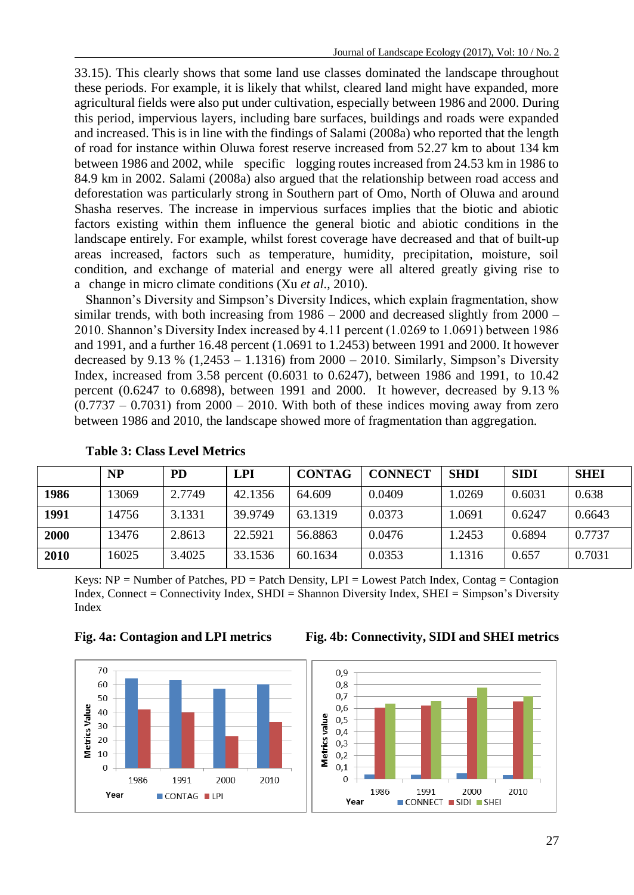33.15). This clearly shows that some land use classes dominated the landscape throughout these periods. For example, it is likely that whilst, cleared land might have expanded, more agricultural fields were also put under cultivation, especially between 1986 and 2000. During this period, impervious layers, including bare surfaces, buildings and roads were expanded and increased. This is in line with the findings of Salami (2008a) who reported that the length of road for instance within Oluwa forest reserve increased from 52.27 km to about 134 km between 1986 and 2002, while specific logging routes increased from 24.53 km in 1986 to 84.9 km in 2002. Salami (2008a) also argued that the relationship between road access and deforestation was particularly strong in Southern part of Omo, North of Oluwa and around Shasha reserves. The increase in impervious surfaces implies that the biotic and abiotic factors existing within them influence the general biotic and abiotic conditions in the landscape entirely. For example, whilst forest coverage have decreased and that of built-up areas increased, factors such as temperature, humidity, precipitation, moisture, soil condition, and exchange of material and energy were all altered greatly giving rise to a change in micro climate conditions (Xu *et al*., 2010).

Shannon's Diversity and Simpson's Diversity Indices, which explain fragmentation, show similar trends, with both increasing from  $1986 - 2000$  and decreased slightly from  $2000 -$ 2010. Shannon's Diversity Index increased by 4.11 percent (1.0269 to 1.0691) between 1986 and 1991, and a further 16.48 percent (1.0691 to 1.2453) between 1991 and 2000. It however decreased by 9.13 % (1,2453 – 1.1316) from 2000 – 2010. Similarly, Simpson's Diversity Index, increased from 3.58 percent (0.6031 to 0.6247), between 1986 and 1991, to 10.42 percent (0.6247 to 0.6898), between 1991 and 2000. It however, decreased by 9.13 %  $(0.7737 - 0.7031)$  from 2000 – 2010. With both of these indices moving away from zero between 1986 and 2010, the landscape showed more of fragmentation than aggregation.

|      | NP    | PD     | <b>LPI</b> | <b>CONTAG</b> | <b>CONNECT</b> | <b>SHDI</b> | <b>SIDI</b> | <b>SHEI</b> |
|------|-------|--------|------------|---------------|----------------|-------------|-------------|-------------|
| 1986 | 13069 | 2.7749 | 42.1356    | 64.609        | 0.0409         | 1.0269      | 0.6031      | 0.638       |
| 1991 | 14756 | 3.1331 | 39.9749    | 63.1319       | 0.0373         | .0691       | 0.6247      | 0.6643      |
| 2000 | 13476 | 2.8613 | 22.5921    | 56.8863       | 0.0476         | 1.2453      | 0.6894      | 0.7737      |
| 2010 | 16025 | 3.4025 | 33.1536    | 60.1634       | 0.0353         | .1316       | 0.657       | 0.7031      |

# **Table 3: Class Level Metrics**

Keys:  $NP = Number of Patches, PD = Patent Density, LPI = Lower Patch Index, Contag = Contagion$ Index, Connect = Connectivity Index, SHDI = Shannon Diversity Index, SHEI = Simpson's Diversity Index



**Fig. 4a: Contagion and LPI metrics Fig. 4b: Connectivity, SIDI and SHEI metrics**



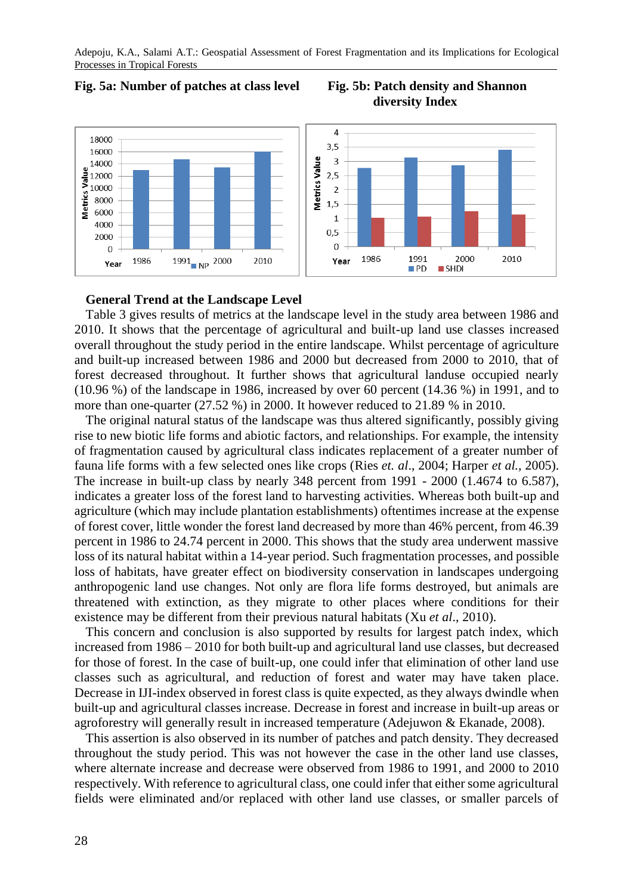

# **Fig. 5a: Number of patches at class level Fig. 5b: Patch density and Shannon diversity Index**



# **General Trend at the Landscape Level**

Table 3 gives results of metrics at the landscape level in the study area between 1986 and 2010. It shows that the percentage of agricultural and built-up land use classes increased overall throughout the study period in the entire landscape. Whilst percentage of agriculture and built-up increased between 1986 and 2000 but decreased from 2000 to 2010, that of forest decreased throughout. It further shows that agricultural landuse occupied nearly (10.96 %) of the landscape in 1986, increased by over 60 percent (14.36 %) in 1991, and to more than one-quarter (27.52 %) in 2000. It however reduced to 21.89 % in 2010.

The original natural status of the landscape was thus altered significantly, possibly giving rise to new biotic life forms and abiotic factors, and relationships. For example, the intensity of fragmentation caused by agricultural class indicates replacement of a greater number of fauna life forms with a few selected ones like crops (Ries *et. al*., 2004; Harper *et al.,* 2005). The increase in built-up class by nearly 348 percent from 1991 - 2000 (1.4674 to 6.587), indicates a greater loss of the forest land to harvesting activities. Whereas both built-up and agriculture (which may include plantation establishments) oftentimes increase at the expense of forest cover, little wonder the forest land decreased by more than 46% percent, from 46.39 percent in 1986 to 24.74 percent in 2000. This shows that the study area underwent massive loss of its natural habitat within a 14-year period. Such fragmentation processes, and possible loss of habitats, have greater effect on biodiversity conservation in landscapes undergoing anthropogenic land use changes. Not only are flora life forms destroyed, but animals are threatened with extinction, as they migrate to other places where conditions for their existence may be different from their previous natural habitats (Xu *et al*., 2010).

This concern and conclusion is also supported by results for largest patch index, which increased from 1986 – 2010 for both built-up and agricultural land use classes, but decreased for those of forest. In the case of built-up, one could infer that elimination of other land use classes such as agricultural, and reduction of forest and water may have taken place. Decrease in IJI-index observed in forest class is quite expected, as they always dwindle when built-up and agricultural classes increase. Decrease in forest and increase in built-up areas or agroforestry will generally result in increased temperature (Adejuwon & Ekanade, 2008).

This assertion is also observed in its number of patches and patch density. They decreased throughout the study period. This was not however the case in the other land use classes, where alternate increase and decrease were observed from 1986 to 1991, and 2000 to 2010 respectively. With reference to agricultural class, one could infer that either some agricultural fields were eliminated and/or replaced with other land use classes, or smaller parcels of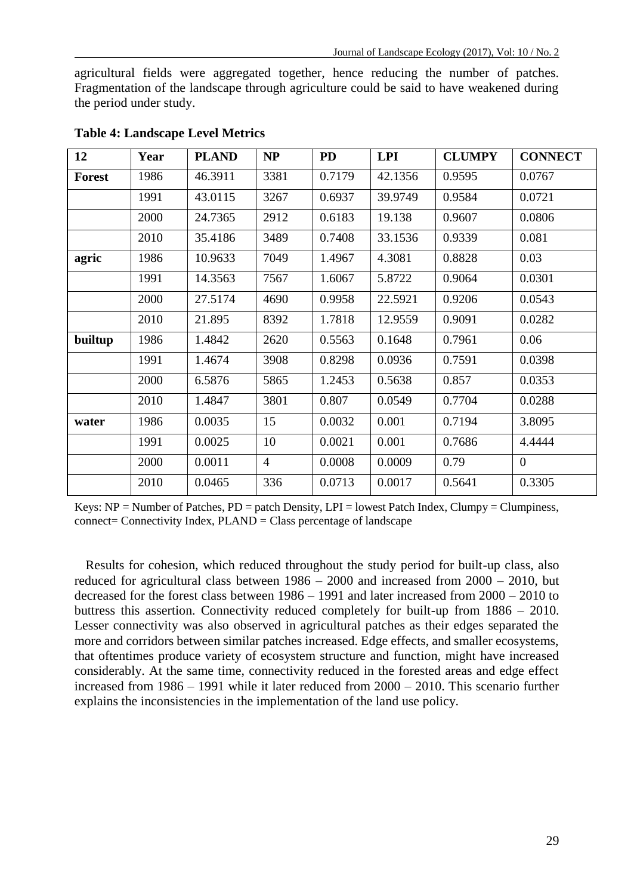agricultural fields were aggregated together, hence reducing the number of patches. Fragmentation of the landscape through agriculture could be said to have weakened during the period under study.

| 12      | Year | <b>PLAND</b> | NP             | <b>PD</b> | <b>LPI</b> | <b>CLUMPY</b> | <b>CONNECT</b> |
|---------|------|--------------|----------------|-----------|------------|---------------|----------------|
| Forest  | 1986 | 46.3911      | 3381           | 0.7179    | 42.1356    | 0.9595        | 0.0767         |
|         | 1991 | 43.0115      | 3267           | 0.6937    | 39.9749    | 0.9584        | 0.0721         |
|         | 2000 | 24.7365      | 2912           | 0.6183    | 19.138     | 0.9607        | 0.0806         |
|         | 2010 | 35.4186      | 3489           | 0.7408    | 33.1536    | 0.9339        | 0.081          |
| agric   | 1986 | 10.9633      | 7049           | 1.4967    | 4.3081     | 0.8828        | 0.03           |
|         | 1991 | 14.3563      | 7567           | 1.6067    | 5.8722     | 0.9064        | 0.0301         |
|         | 2000 | 27.5174      | 4690           | 0.9958    | 22.5921    | 0.9206        | 0.0543         |
|         | 2010 | 21.895       | 8392           | 1.7818    | 12.9559    | 0.9091        | 0.0282         |
| builtup | 1986 | 1.4842       | 2620           | 0.5563    | 0.1648     | 0.7961        | 0.06           |
|         | 1991 | 1.4674       | 3908           | 0.8298    | 0.0936     | 0.7591        | 0.0398         |
|         | 2000 | 6.5876       | 5865           | 1.2453    | 0.5638     | 0.857         | 0.0353         |
|         | 2010 | 1.4847       | 3801           | 0.807     | 0.0549     | 0.7704        | 0.0288         |
| water   | 1986 | 0.0035       | 15             | 0.0032    | 0.001      | 0.7194        | 3.8095         |
|         | 1991 | 0.0025       | 10             | 0.0021    | 0.001      | 0.7686        | 4.4444         |
|         | 2000 | 0.0011       | $\overline{4}$ | 0.0008    | 0.0009     | 0.79          | $\overline{0}$ |
|         | 2010 | 0.0465       | 336            | 0.0713    | 0.0017     | 0.5641        | 0.3305         |

#### **Table 4: Landscape Level Metrics**

Keys:  $NP = Number of Patches, PD = patch Density, LPI = lowest Patent Index, Clumpy = Clumpiness,$  $connect = Connectivity Index, PLAND = Class percentage of landscape$ 

Results for cohesion, which reduced throughout the study period for built-up class, also reduced for agricultural class between 1986 – 2000 and increased from 2000 – 2010, but decreased for the forest class between 1986 – 1991 and later increased from 2000 – 2010 to buttress this assertion. Connectivity reduced completely for built-up from 1886 – 2010. Lesser connectivity was also observed in agricultural patches as their edges separated the more and corridors between similar patches increased. Edge effects, and smaller ecosystems, that oftentimes produce variety of ecosystem structure and function, might have increased considerably. At the same time, connectivity reduced in the forested areas and edge effect increased from 1986 – 1991 while it later reduced from 2000 – 2010. This scenario further explains the inconsistencies in the implementation of the land use policy.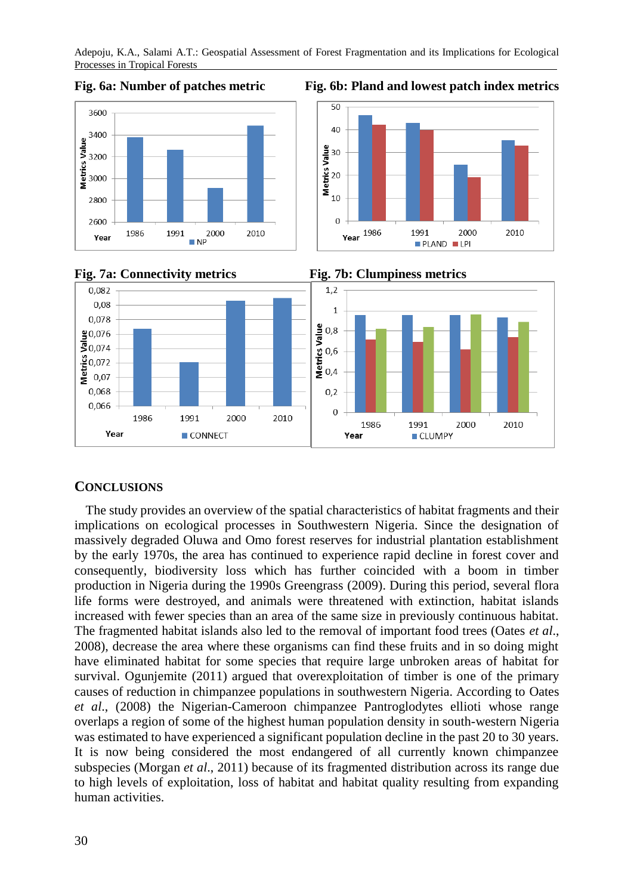





#### **CONCLUSIONS**

The study provides an overview of the spatial characteristics of habitat fragments and their implications on ecological processes in Southwestern Nigeria. Since the designation of massively degraded Oluwa and Omo forest reserves for industrial plantation establishment by the early 1970s, the area has continued to experience rapid decline in forest cover and consequently, biodiversity loss which has further coincided with a boom in timber production in Nigeria during the 1990s Greengrass (2009). During this period, several flora life forms were destroyed, and animals were threatened with extinction, habitat islands increased with fewer species than an area of the same size in previously continuous habitat. The fragmented habitat islands also led to the removal of important food trees (Oates *et al*., 2008), decrease the area where these organisms can find these fruits and in so doing might have eliminated habitat for some species that require large unbroken areas of habitat for survival. Ogunjemite (2011) argued that overexploitation of timber is one of the primary causes of reduction in chimpanzee populations in southwestern Nigeria. According to Oates *et al*., (2008) the Nigerian-Cameroon chimpanzee Pantroglodytes ellioti whose range overlaps a region of some of the highest human population density in south-western Nigeria was estimated to have experienced a significant population decline in the past 20 to 30 years. It is now being considered the most endangered of all currently known chimpanzee subspecies (Morgan *et al*., 2011) because of its fragmented distribution across its range due to high levels of exploitation, loss of habitat and habitat quality resulting from expanding human activities.

#### 30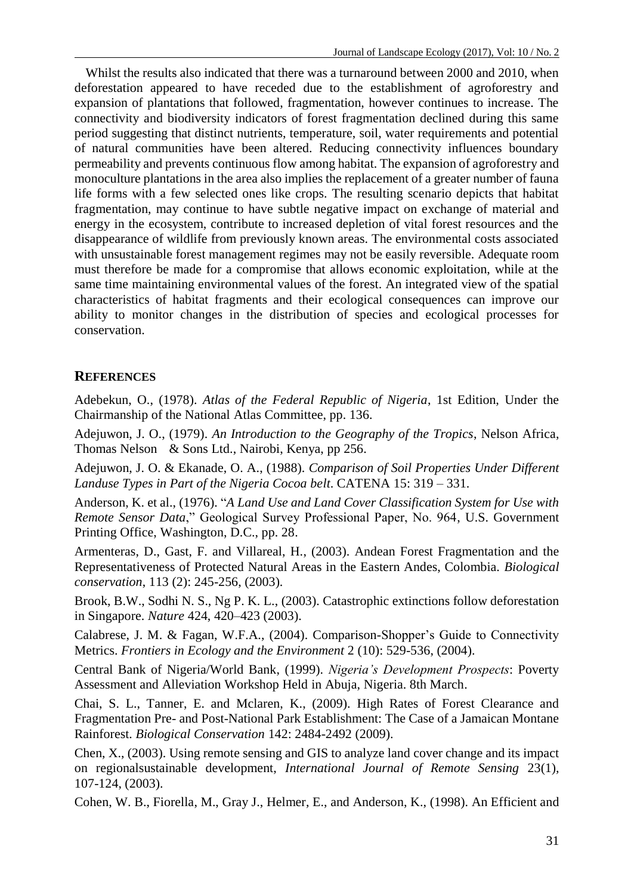Whilst the results also indicated that there was a turnaround between 2000 and 2010, when deforestation appeared to have receded due to the establishment of agroforestry and expansion of plantations that followed, fragmentation, however continues to increase. The connectivity and biodiversity indicators of forest fragmentation declined during this same period suggesting that distinct nutrients, temperature, soil, water requirements and potential of natural communities have been altered. Reducing connectivity influences boundary permeability and prevents continuous flow among habitat. The expansion of agroforestry and monoculture plantations in the area also implies the replacement of a greater number of fauna life forms with a few selected ones like crops. The resulting scenario depicts that habitat fragmentation, may continue to have subtle negative impact on exchange of material and energy in the ecosystem, contribute to increased depletion of vital forest resources and the disappearance of wildlife from previously known areas. The environmental costs associated with unsustainable forest management regimes may not be easily reversible. Adequate room must therefore be made for a compromise that allows economic exploitation, while at the same time maintaining environmental values of the forest. An integrated view of the spatial characteristics of habitat fragments and their ecological consequences can improve our ability to monitor changes in the distribution of species and ecological processes for conservation.

# **REFERENCES**

Adebekun, O., (1978). *Atlas of the Federal Republic of Nigeria*, 1st Edition, Under the Chairmanship of the National Atlas Committee, pp. 136.

Adejuwon, J. O., (1979). *An Introduction to the Geography of the Tropics*, Nelson Africa, Thomas Nelson & Sons Ltd., Nairobi, Kenya, pp 256.

Adejuwon, J. O. & Ekanade, O. A., (1988). *Comparison of Soil Properties Under Different Landuse Types in Part of the Nigeria Cocoa belt*. CATENA 15: 319 – 331.

Anderson, K. et al., (1976). "*A Land Use and Land Cover Classification System for Use with Remote Sensor Data*," Geological Survey Professional Paper, No. 964, U.S. Government Printing Office, Washington, D.C., pp. 28.

Armenteras, D., Gast, F. and Villareal, H., (2003). Andean Forest Fragmentation and the Representativeness of Protected Natural Areas in the Eastern Andes, Colombia. *Biological conservation*, 113 (2): 245-256, (2003).

Brook, B.W., Sodhi N. S., Ng P. K. L., (2003). Catastrophic extinctions follow deforestation in Singapore. *Nature* 424, 420–423 (2003).

Calabrese, J. M. & Fagan, W.F.A., (2004). Comparison-Shopper's Guide to Connectivity Metrics. *Frontiers in Ecology and the Environment* 2 (10): 529-536, (2004).

Central Bank of Nigeria/World Bank, (1999). *Nigeria's Development Prospects*: Poverty Assessment and Alleviation Workshop Held in Abuja, Nigeria. 8th March.

Chai, S. L., Tanner, E. and Mclaren, K., (2009). High Rates of Forest Clearance and Fragmentation Pre- and Post-National Park Establishment: The Case of a Jamaican Montane Rainforest. *Biological Conservation* 142: 2484-2492 (2009).

Chen, X., (2003). Using remote sensing and GIS to analyze land cover change and its impact on regionalsustainable development, *International Journal of Remote Sensing* 23(1), 107-124, (2003).

Cohen, W. B., Fiorella, M., Gray J., Helmer, E., and Anderson, K., (1998). An Efficient and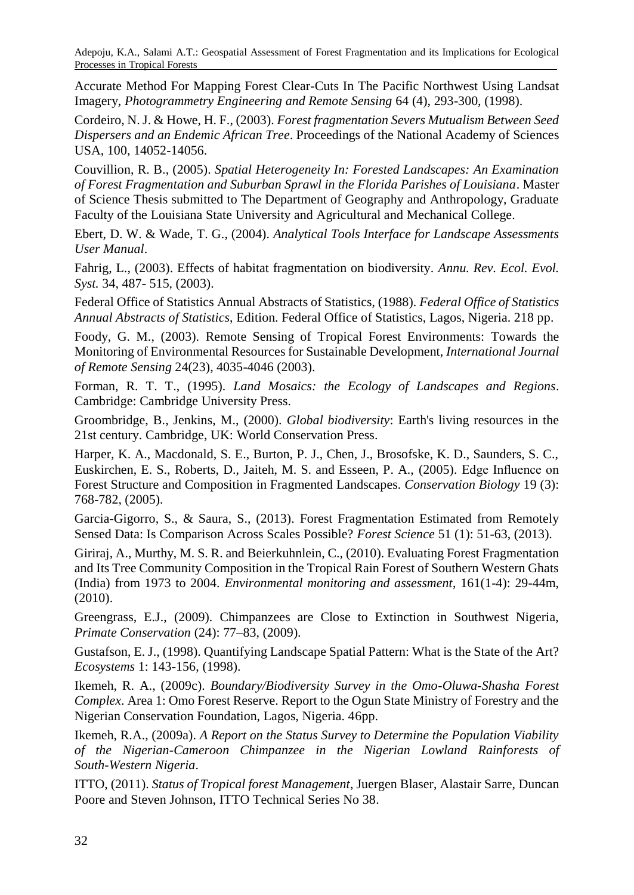Accurate Method For Mapping Forest Clear-Cuts In The Pacific Northwest Using Landsat Imagery, *Photogrammetry Engineering and Remote Sensing* 64 (4), 293-300, (1998).

Cordeiro, N. J. & Howe, H. F., (2003). *Forest fragmentation Severs Mutualism Between Seed Dispersers and an Endemic African Tree*. Proceedings of the National Academy of Sciences USA, 100, 14052-14056.

Couvillion, R. B., (2005). *Spatial Heterogeneity In: Forested Landscapes: An Examination of Forest Fragmentation and Suburban Sprawl in the Florida Parishes of Louisiana*. Master of Science Thesis submitted to The Department of Geography and Anthropology, Graduate Faculty of the Louisiana State University and Agricultural and Mechanical College.

Ebert, D. W. & Wade, T. G., (2004). *Analytical Tools Interface for Landscape Assessments User Manual*.

Fahrig, L., (2003). Effects of habitat fragmentation on biodiversity. *Annu. Rev. Ecol. Evol. Syst.* 34, 487- 515, (2003).

Federal Office of Statistics Annual Abstracts of Statistics, (1988). *Federal Office of Statistics Annual Abstracts of Statistics*, Edition. Federal Office of Statistics, Lagos, Nigeria. 218 pp.

Foody, G. M., (2003). Remote Sensing of Tropical Forest Environments: Towards the Monitoring of Environmental Resources for Sustainable Development, *International Journal of Remote Sensing* 24(23), 4035-4046 (2003).

Forman, R. T. T., (1995). *Land Mosaics: the Ecology of Landscapes and Regions*. Cambridge: Cambridge University Press.

Groombridge, B., Jenkins, M., (2000). *Global biodiversity*: Earth's living resources in the 21st century. Cambridge, UK: World Conservation Press.

Harper, K. A., Macdonald, S. E., Burton, P. J., Chen, J., Brosofske, K. D., Saunders, S. C., Euskirchen, E. S., Roberts, D., Jaiteh, M. S. and Esseen, P. A., (2005). Edge Influence on Forest Structure and Composition in Fragmented Landscapes. *Conservation Biology* 19 (3): 768-782, (2005).

Garcia-Gigorro, S., & Saura, S., (2013). Forest Fragmentation Estimated from Remotely Sensed Data: Is Comparison Across Scales Possible? *Forest Science* 51 (1): 51-63, (2013).

Giriraj, A., Murthy, M. S. R. and Beierkuhnlein, C., (2010). Evaluating Forest Fragmentation and Its Tree Community Composition in the Tropical Rain Forest of Southern Western Ghats (India) from 1973 to 2004. *Environmental monitoring and assessment*, 161(1-4): 29-44m, (2010).

Greengrass, E.J., (2009). Chimpanzees are Close to Extinction in Southwest Nigeria, *Primate Conservation* (24): 77–83, (2009).

Gustafson, E. J., (1998). Quantifying Landscape Spatial Pattern: What is the State of the Art? *Ecosystems* 1: 143-156, (1998).

Ikemeh, R. A., (2009c). *Boundary/Biodiversity Survey in the Omo-Oluwa-Shasha Forest Complex*. Area 1: Omo Forest Reserve. Report to the Ogun State Ministry of Forestry and the Nigerian Conservation Foundation, Lagos, Nigeria. 46pp.

Ikemeh, R.A., (2009a). *A Report on the Status Survey to Determine the Population Viability of the Nigerian-Cameroon Chimpanzee in the Nigerian Lowland Rainforests of South-Western Nigeria*.

ITTO, (2011). *Status of Tropical forest Management*, Juergen Blaser, Alastair Sarre, Duncan Poore and Steven Johnson, ITTO Technical Series No 38.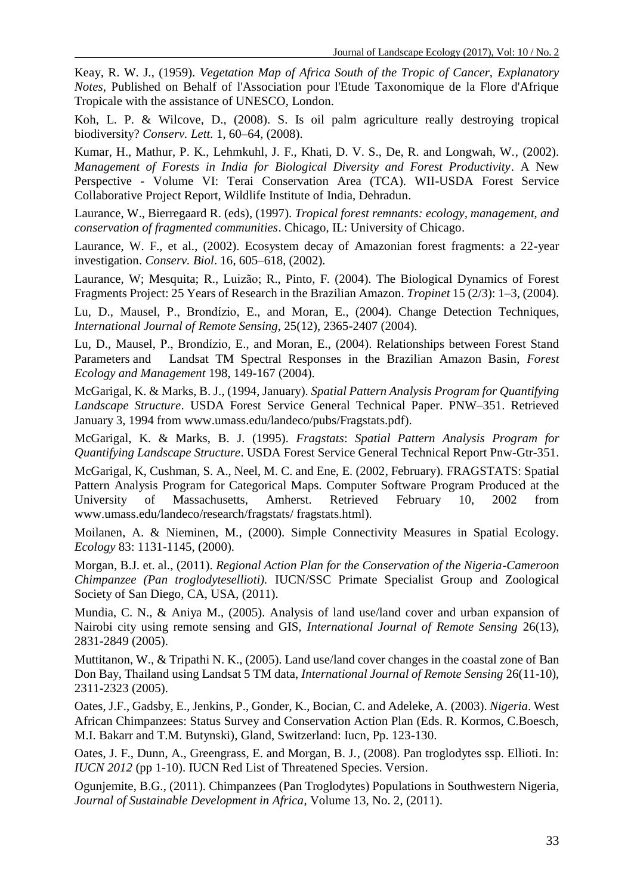Keay, R. W. J., (1959). *Vegetation Map of Africa South of the Tropic of Cancer, Explanatory Notes*, Published on Behalf of l'Association pour l'Etude Taxonomique de la Flore d'Afrique Tropicale with the assistance of UNESCO, London.

Koh, L. P. & Wilcove, D., (2008). S. Is oil palm agriculture really destroying tropical biodiversity? *Conserv. Lett.* 1, 60–64, (2008).

Kumar, H., Mathur, P. K., Lehmkuhl, J. F., Khati, D. V. S., De, R. and Longwah, W., (2002). *Management of Forests in India for Biological Diversity and Forest Productivity*. A New Perspective - Volume VI: Terai Conservation Area (TCA). WII-USDA Forest Service Collaborative Project Report, Wildlife Institute of India, Dehradun.

Laurance, W., Bierregaard R. (eds), (1997). *Tropical forest remnants: ecology, management, and conservation of fragmented communities*. Chicago, IL: University of Chicago.

Laurance, W. F., et al., (2002). Ecosystem decay of Amazonian forest fragments: a 22-year investigation. *Conserv. Biol*. 16, 605–618, (2002).

Laurance, W; Mesquita; R., Luizão; R., Pinto, F. (2004). The Biological Dynamics of Forest Fragments Project: 25 Years of Research in the Brazilian Amazon. *Tropinet* 15 (2/3): 1–3, (2004).

Lu, D., Mausel, P., Brondízio, E., and Moran, E., (2004). Change Detection Techniques, *International Journal of Remote Sensing*, 25(12), 2365-2407 (2004).

Lu, D., Mausel, P., Brondízio, E., and Moran, E., (2004). Relationships between Forest Stand Parameters and Landsat TM Spectral Responses in the Brazilian Amazon Basin, *Forest Ecology and Management* 198, 149-167 (2004).

McGarigal, K. & Marks, B. J., (1994, January). *Spatial Pattern Analysis Program for Quantifying Landscape Structure*. USDA Forest Service General Technical Paper. PNW–351. Retrieved January 3, 1994 from www.umass.edu/landeco/pubs/Fragstats.pdf).

McGarigal, K. & Marks, B. J. (1995). *Fragstats*: *Spatial Pattern Analysis Program for Quantifying Landscape Structure*. USDA Forest Service General Technical Report Pnw-Gtr-351.

McGarigal, K, Cushman, S. A., Neel, M. C. and Ene, E. (2002, February). FRAGSTATS: Spatial Pattern Analysis Program for Categorical Maps. Computer Software Program Produced at the University of Massachusetts, Amherst. Retrieved February 10, 2002 from www.umass.edu/landeco/research/fragstats/ fragstats.html).

Moilanen, A. & Nieminen, M., (2000). Simple Connectivity Measures in Spatial Ecology. *Ecology* 83: 1131-1145, (2000).

Morgan, B.J. et. al., (2011). *Regional Action Plan for the Conservation of the Nigeria-Cameroon Chimpanzee (Pan troglodytesellioti).* IUCN/SSC Primate Specialist Group and Zoological Society of San Diego, CA, USA, (2011).

Mundia, C. N., & Aniya M., (2005). Analysis of land use/land cover and urban expansion of Nairobi city using remote sensing and GIS, *International Journal of Remote Sensing* 26(13), 2831-2849 (2005).

Muttitanon, W., & Tripathi N. K., (2005). Land use/land cover changes in the coastal zone of Ban Don Bay, Thailand using Landsat 5 TM data, *International Journal of Remote Sensing* 26(11-10), 2311-2323 (2005).

Oates, J.F., Gadsby, E., Jenkins, P., Gonder, K., Bocian, C. and Adeleke, A. (2003). *Nigeria*. West African Chimpanzees: Status Survey and Conservation Action Plan (Eds. R. Kormos, C.Boesch, M.I. Bakarr and T.M. Butynski), Gland, Switzerland: Iucn, Pp. 123-130.

Oates, J. F., Dunn, A., Greengrass, E. and Morgan, B. J., (2008). Pan troglodytes ssp. Ellioti. In: *IUCN 2012* (pp 1-10). IUCN Red List of Threatened Species. Version.

Ogunjemite, B.G., (2011). Chimpanzees (Pan Troglodytes) Populations in Southwestern Nigeria, *Journal of Sustainable Development in Africa*, Volume 13, No. 2, (2011).